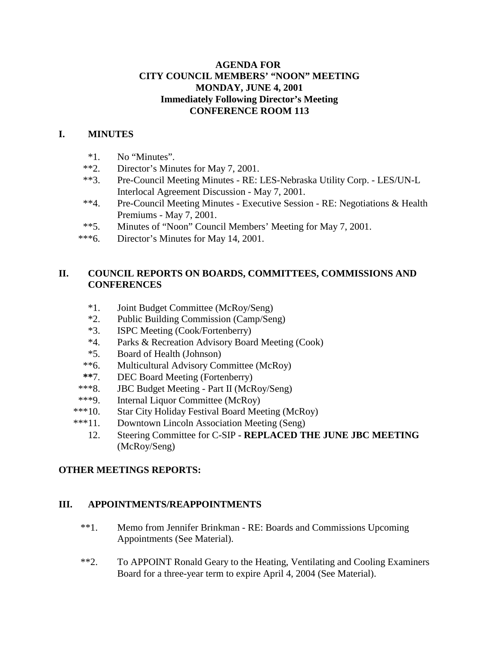### **AGENDA FOR CITY COUNCIL MEMBERS' "NOON" MEETING MONDAY, JUNE 4, 2001 Immediately Following Director's Meeting CONFERENCE ROOM 113**

# **I. MINUTES**

- \*1. No "Minutes".
- \*\*2. Director's Minutes for May 7, 2001.
- \*\*3. Pre-Council Meeting Minutes RE: LES-Nebraska Utility Corp. LES/UN-L Interlocal Agreement Discussion - May 7, 2001.
- \*\*4. Pre-Council Meeting Minutes Executive Session RE: Negotiations & Health Premiums - May 7, 2001.
- \*\*5. Minutes of "Noon" Council Members' Meeting for May 7, 2001.
- \*\*\*6. Director's Minutes for May 14, 2001.

## **II. COUNCIL REPORTS ON BOARDS, COMMITTEES, COMMISSIONS AND CONFERENCES**

- \*1. Joint Budget Committee (McRoy/Seng)
- \*2. Public Building Commission (Camp/Seng)
- \*3. ISPC Meeting (Cook/Fortenberry)
- \*4. Parks & Recreation Advisory Board Meeting (Cook)
- \*5. Board of Health (Johnson)
- \*\*6. Multicultural Advisory Committee (McRoy)
- **\*\***7. DEC Board Meeting (Fortenberry)
- \*\*\*8. JBC Budget Meeting Part II (McRoy/Seng)
- \*\*\*9. Internal Liquor Committee (McRoy)
- \*\*\*10. Star City Holiday Festival Board Meeting (McRoy)
- \*\*\*11. Downtown Lincoln Association Meeting (Seng)
	- 12. Steering Committee for C-SIP  **REPLACED THE JUNE JBC MEETING** (McRoy/Seng)

### **OTHER MEETINGS REPORTS:**

#### **III. APPOINTMENTS/REAPPOINTMENTS**

- \*\*1. Memo from Jennifer Brinkman RE: Boards and Commissions Upcoming Appointments (See Material).
- \*\*2. To APPOINT Ronald Geary to the Heating, Ventilating and Cooling Examiners Board for a three-year term to expire April 4, 2004 (See Material).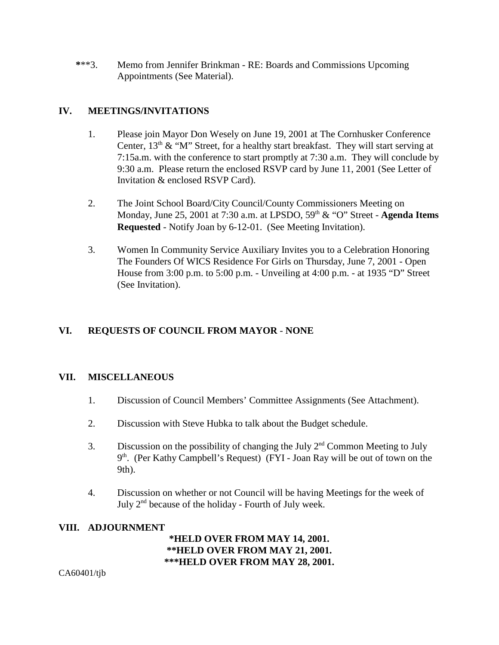**\***\*\*3. Memo from Jennifer Brinkman - RE: Boards and Commissions Upcoming Appointments (See Material).

## **IV. MEETINGS/INVITATIONS**

- 1. Please join Mayor Don Wesely on June 19, 2001 at The Cornhusker Conference Center,  $13<sup>th</sup> \&$  "M" Street, for a healthy start breakfast. They will start serving at 7:15a.m. with the conference to start promptly at 7:30 a.m. They will conclude by 9:30 a.m. Please return the enclosed RSVP card by June 11, 2001 (See Letter of Invitation & enclosed RSVP Card).
- 2. The Joint School Board/City Council/County Commissioners Meeting on Monday, June 25, 2001 at 7:30 a.m. at LPSDO, 59<sup>th</sup> & "O" Street - **Agenda Items Requested** - Notify Joan by 6-12-01. (See Meeting Invitation).
- 3. Women In Community Service Auxiliary Invites you to a Celebration Honoring The Founders Of WICS Residence For Girls on Thursday, June 7, 2001 - Open House from 3:00 p.m. to 5:00 p.m. - Unveiling at 4:00 p.m. - at 1935 "D" Street (See Invitation).

# **VI. REQUESTS OF COUNCIL FROM MAYOR** - **NONE**

### **VII. MISCELLANEOUS**

- 1. Discussion of Council Members' Committee Assignments (See Attachment).
- 2. Discussion with Steve Hubka to talk about the Budget schedule.
- 3. Discussion on the possibility of changing the July  $2<sup>nd</sup>$  Common Meeting to July 9<sup>th</sup>. (Per Kathy Campbell's Request) (FYI - Joan Ray will be out of town on the 9th).
- 4. Discussion on whether or not Council will be having Meetings for the week of July 2nd because of the holiday - Fourth of July week.

#### **VIII. ADJOURNMENT**

**\*HELD OVER FROM MAY 14, 2001. \*\*HELD OVER FROM MAY 21, 2001. \*\*\*HELD OVER FROM MAY 28, 2001.**

CA60401/tjb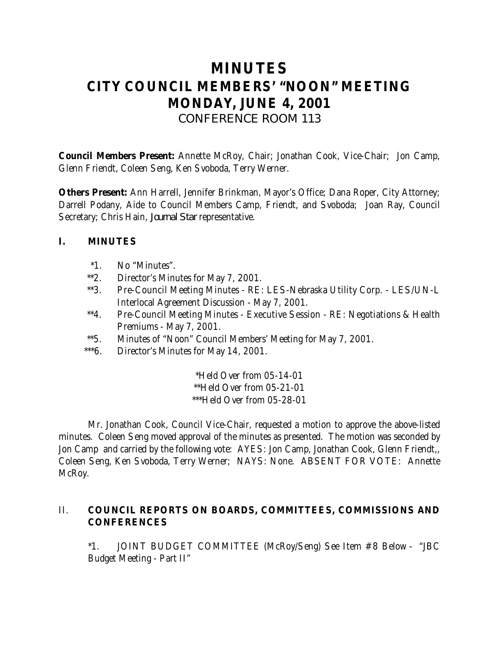# **MINUTES CITY COUNCIL MEMBERS' "NOON" MEETING MONDAY, JUNE 4, 2001** *CONFERENCE ROOM 113*

**Council Members Present:** Annette McRoy, Chair; Jonathan Cook, Vice-Chair; Jon Camp, Glenn Friendt, Coleen Seng, Ken Svoboda, Terry Werner.

**Others Present:** Ann Harrell, Jennifer Brinkman, Mayor's Office; Dana Roper, City Attorney; Darrell Podany, Aide to Council Members Camp, Friendt, and Svoboda; Joan Ray, Council Secretary; Chris Hain, *Journal Star* representative.

## **I. MINUTES**

- \*1. No "Minutes".
- \*\*2. Director's Minutes for May 7, 2001.
- \*\*3. Pre-Council Meeting Minutes RE: LES-Nebraska Utility Corp. LES/UN-L Interlocal Agreement Discussion - May 7, 2001.
- \*\*4. Pre-Council Meeting Minutes Executive Session RE: Negotiations & Health Premiums - May 7, 2001.
- \*\*5. Minutes of "Noon" Council Members' Meeting for May 7, 2001.
- \*\*\*6. Director's Minutes for May 14, 2001.

\*Held Over from 05-14-01 \*\*Held Over from 05-21-01 \*\*\*Held Over from 05-28-01

Mr. Jonathan Cook, Council Vice-Chair, requested a motion to approve the above-listed minutes. Coleen Seng moved approval of the minutes as presented. The motion was seconded by Jon Camp and carried by the following vote: AYES: Jon Camp, Jonathan Cook, Glenn Friendt,, Coleen Seng, Ken Svoboda, Terry Werner; NAYS: None. ABSENT FOR VOTE: Annette McRoy.

## II. **COUNCIL REPORTS ON BOARDS, COMMITTEES, COMMISSIONS AND CONFERENCES**

\*1. JOINT BUDGET COMMITTEE (McRoy/Seng) See Item #8 Below - "JBC Budget Meeting - Part II"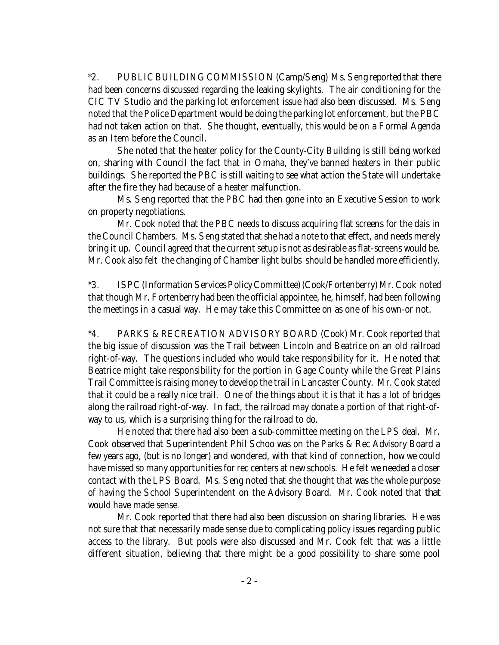\*2. PUBLIC BUILDING COMMISSION (Camp/Seng) Ms. Seng reported that there had been concerns discussed regarding the leaking skylights. The air conditioning for the CIC TV Studio and the parking lot enforcement issue had also been discussed. Ms. Seng noted that the Police Department would be doing the parking lot enforcement, but the PBC had not taken action on that. She thought, eventually, this would be on a Formal Agenda as an Item before the Council.

She noted that the heater policy for the County-City Building is still being worked on, sharing with Council the fact that in Omaha, they've banned heaters in their public buildings. She reported the PBC is still waiting to see what action the State will undertake after the fire they had because of a heater malfunction.

Ms. Seng reported that the PBC had then gone into an Executive Session to work on property negotiations.

Mr. Cook noted that the PBC needs to discuss acquiring flat screens for the dais in the Council Chambers. Ms. Seng stated that she had a note to that effect, and needs merely bring it up. Council agreed that the current setup is not as desirable as flat-screens would be. Mr. Cook also felt the changing of Chamber light bulbs should be handled more efficiently.

\*3. ISPC (Information Services Policy Committee) (Cook/Fortenberry) Mr. Cook noted that though Mr. Fortenberry had been the official appointee, he, himself, had been following the meetings in a casual way. He may take this Committee on as one of his own-or not.

\*4. PARKS & RECREATION ADVISORY BOARD (Cook) Mr. Cook reported that the big issue of discussion was the Trail between Lincoln and Beatrice on an old railroad right-of-way. The questions included who would take responsibility for it. He noted that Beatrice might take responsibility for the portion in Gage County while the Great Plains Trail Committee is raising money to develop the trail in Lancaster County. Mr. Cook stated that it could be a really nice trail. One of the things about it is that it has a lot of bridges along the railroad right-of-way. In fact, the railroad may donate a portion of that right-ofway to us, which is a surprising thing for the railroad to do.

He noted that there had also been a sub-committee meeting on the LPS deal. Mr. Cook observed that Superintendent Phil Schoo was on the Parks & Rec Advisory Board a few years ago, (but is no longer) and wondered, with that kind of connection, how we could have missed so many opportunities for rec centers at new schools. He felt we needed a closer contact with the LPS Board. Ms. Seng noted that she thought that was the whole purpose of having the School Superintendent on the Advisory Board. Mr. Cook noted that *that* would have made sense.

Mr. Cook reported that there had also been discussion on sharing libraries. He was not sure that that necessarily made sense due to complicating policy issues regarding public access to the library. But pools were also discussed and Mr. Cook felt that was a little different situation, believing that there might be a good possibility to share some pool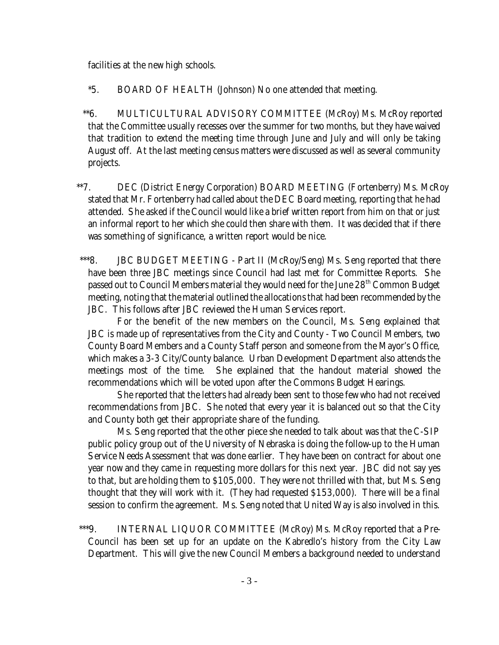facilities at the new high schools.

- \*5. BOARD OF HEALTH (Johnson) No one attended that meeting.
- \*\*6. MULTICULTURAL ADVISORY COMMITTEE (McRoy) Ms. McRoy reported that the Committee usually recesses over the summer for two months, but they have waived that tradition to extend the meeting time through June and July and will only be taking August off. At the last meeting census matters were discussed as well as several community projects.
- \*\*7. DEC (District Energy Corporation) BOARD MEETING (Fortenberry) Ms. McRoy stated that Mr. Fortenberry had called about the DEC Board meeting, reporting that he had attended. She asked if the Council would like a brief written report from him on that or just an informal report to her which she could then share with them. It was decided that if there was something of significance, a written report would be nice.
- \*\*\*8. JBC BUDGET MEETING Part II (McRoy/Seng) Ms. Seng reported that there have been three JBC meetings since Council had last met for Committee Reports. She passed out to Council Members material they would need for the June 28<sup>th</sup> Common Budget meeting, noting that the material outlined the allocations that had been recommended by the JBC. This follows after JBC reviewed the Human Services report.

For the benefit of the new members on the Council, Ms. Seng explained that JBC is made up of representatives from the City and County - Two Council Members, two County Board Members and a County Staff person and someone from the Mayor's Office, which makes a 3-3 City/County balance. Urban Development Department also attends the meetings most of the time. She explained that the handout material showed the recommendations which will be voted upon after the Commons Budget Hearings.

She reported that the letters had already been sent to those few who had not received recommendations from JBC. She noted that every year it is balanced out so that the City and County both get their appropriate share of the funding.

Ms. Seng reported that the other piece she needed to talk about was that the C-SIP public policy group out of the University of Nebraska is doing the follow-up to the Human Service Needs Assessment that was done earlier. They have been on contract for about one year now and they came in requesting more dollars for this next year. JBC did not say yes to that, but are holding them to \$105,000. They were not thrilled with that, but Ms. Seng thought that they will work with it. (They had requested \$153,000). There will be a final session to confirm the agreement. Ms. Seng noted that United Way is also involved in this.

 \*\*\*9. INTERNAL LIQUOR COMMITTEE (McRoy) Ms. McRoy reported that a Pre-Council has been set up for an update on the Kabredlo's history from the City Law Department. This will give the new Council Members a background needed to understand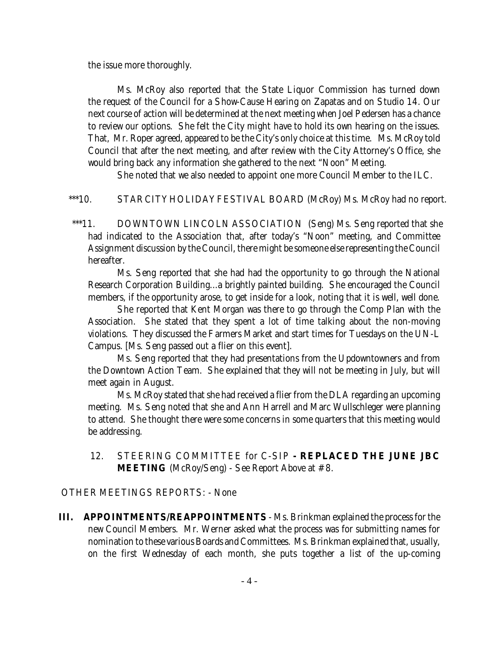the issue more thoroughly.

Ms. McRoy also reported that the State Liquor Commission has turned down the request of the Council for a Show-Cause Hearing on Zapatas and on Studio 14. Our next course of action will be determined at the next meeting when Joel Pedersen has a chance to review our options. She felt the City might have to hold its own hearing on the issues. That, Mr. Roper agreed, appeared to be the City's only choice at this time. Ms. McRoy told Council that after the next meeting, and after review with the City Attorney's Office, she would bring back any information she gathered to the next "Noon" Meeting.

She noted that we also needed to appoint one more Council Member to the ILC.

\*\*\*10. STAR CITY HOLIDAY FESTIVAL BOARD (McRoy) Ms. McRoy had no report.

 \*\*\*11. DOWNTOWN LINCOLN ASSOCIATION (Seng) Ms. Seng reported that she had indicated to the Association that, after today's "Noon" meeting, and Committee Assignment discussion by the Council, there might be someone else representing the Council hereafter.

Ms. Seng reported that she had had the opportunity to go through the National Research Corporation Building...a brightly painted building. She encouraged the Council members, if the opportunity arose, to get inside for a look, noting that it is well, well done.

She reported that Kent Morgan was there to go through the Comp Plan with the Association. She stated that they spent a lot of time talking about the non-moving violations. They discussed the Farmers Market and start times for Tuesdays on the UN-L Campus. [Ms. Seng passed out a flier on this event].

Ms. Seng reported that they had presentations from the Updowntowners and from the Downtown Action Team. She explained that they will not be meeting in July, but will meet again in August.

Ms. McRoy stated that she had received a flier from the DLA regarding an upcoming meeting. Ms. Seng noted that she and Ann Harrell and Marc Wullschleger were planning to attend. She thought there were some concerns in some quarters that this meeting would be addressing.

 12. STEERING COMMITTEE for C-SIP **- REPLACED THE JUNE JBC MEETING** (McRoy/Seng) - See Report Above at #8.

OTHER MEETINGS REPORTS: - None

**III. APPOINTMENTS/REAPPOINTMENTS** - Ms. Brinkman explained the process for the new Council Members. Mr. Werner asked what the process was for submitting names for nomination to these various Boards and Committees. Ms. Brinkman explained that, usually, on the first Wednesday of each month, she puts together a list of the up-coming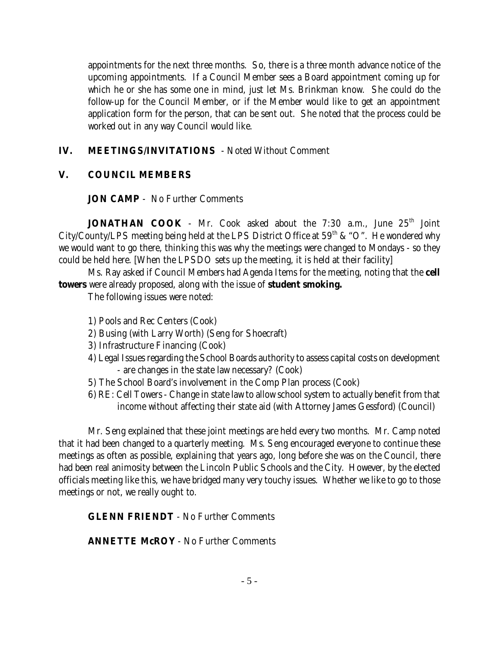appointments for the next three months. So, there is a three month advance notice of the upcoming appointments. If a Council Member sees a Board appointment coming up for which he or she has some one in mind, just let Ms. Brinkman know. She could do the follow-up for the Council Member, or if the Member would like to get an appointment application form for the person, that can be sent out. She noted that the process could be worked out in any way Council would like.

# **IV. MEETINGS/INVITATIONS** - Noted Without Comment

### **V. COUNCIL MEMBERS**

### **JON CAMP** - No Further Comments

**JONATHAN COOK** - Mr. Cook asked about the 7:30 a.m., June 25<sup>th</sup> Joint City/County/LPS meeting being held at the LPS District Office at  $59<sup>th</sup>$  & "O". He wondered why we would want to go there, thinking this was why the meetings were changed to Mondays - so they could be held here. [When the LPSDO sets up the meeting, it is held at their facility]

Ms. Ray asked if Council Members had Agenda Items for the meeting, noting that the **cell towers** were already proposed, along with the issue of **student smoking.**

The following issues were noted:

- 1) Pools and Rec Centers (Cook)
- 2) Busing (with Larry Worth) (Seng for Shoecraft)
- 3) Infrastructure Financing (Cook)
- 4) Legal Issues regarding the School Boards authority to assess capital costs on development - are changes in the state law necessary? (Cook)
- 5) The School Board's involvement in the Comp Plan process (Cook)
- 6) RE: Cell Towers Change in state law to allow school system to actually benefit from that income without affecting their state aid (with Attorney James Gessford) (Council)

Mr. Seng explained that these joint meetings are held every two months. Mr. Camp noted that it had been changed to a quarterly meeting. Ms. Seng encouraged everyone to continue these meetings as often as possible, explaining that years ago, long before she was on the Council, there had been real animosity between the Lincoln Public Schools and the City. However, by the elected officials meeting like this, we have bridged many very touchy issues. Whether we like to go to those meetings or not, we really ought to.

# **GLENN FRIENDT** - No Further Comments

### **ANNETTE McROY** - No Further Comments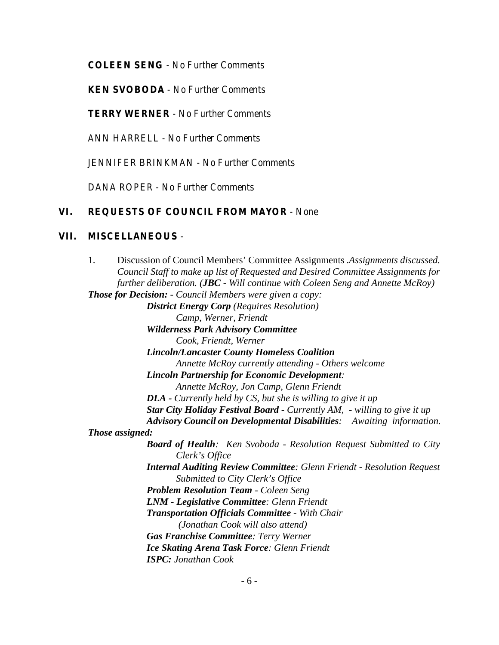**COLEEN SENG** - No Further Comments

**KEN SVOBODA** - No Further Comments

**TERRY WERNER** - No Further Comments

ANN HARRELL - No Further Comments

JENNIFER BRINKMAN - No Further Comments

DANA ROPER - No Further Comments

#### **VI. REQUESTS OF COUNCIL FROM MAYOR** - None

#### **VII. MISCELLANEOUS** -

1. Discussion of Council Members' Committee Assignments .*Assignments discussed. Council Staff to make up list of Requested and Desired Committee Assignments for further deliberation. (JBC - Will continue with Coleen Seng and Annette McRoy) Those for Decision: - Council Members were given a copy: District Energy Corp (Requires Resolution) Camp, Werner, Friendt Wilderness Park Advisory Committee Cook, Friendt, Werner Lincoln/Lancaster County Homeless Coalition Annette McRoy currently attending - Others welcome Lincoln Partnership for Economic Development: Annette McRoy, Jon Camp, Glenn Friendt DLA - Currently held by CS, but she is willing to give it up Star City Holiday Festival Board - Currently AM, - willing to give it up Advisory Council on Developmental Disabilities: Awaiting information. Those assigned: Board of Health: Ken Svoboda - Resolution Request Submitted to City Clerk's Office Internal Auditing Review Committee: Glenn Friendt - Resolution Request Submitted to City Clerk's Office Problem Resolution Team - Coleen Seng LNM - Legislative Committee: Glenn Friendt Transportation Officials Committee - With Chair (Jonathan Cook will also attend) Gas Franchise Committee: Terry Werner Ice Skating Arena Task Force: Glenn Friendt ISPC: Jonathan Cook*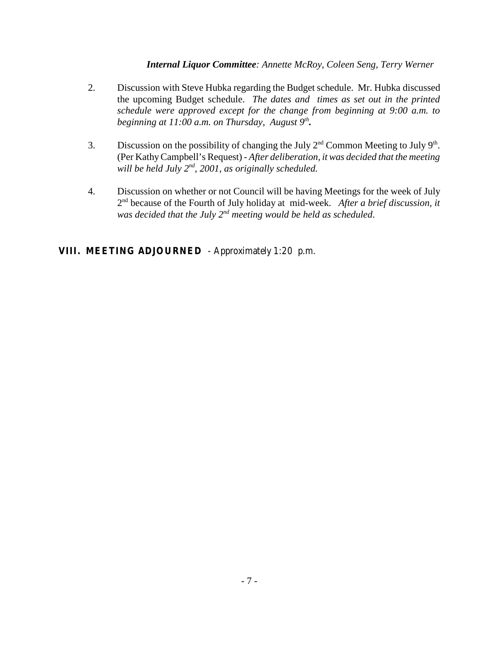*Internal Liquor Committee: Annette McRoy, Coleen Seng, Terry Werner*

- 2. Discussion with Steve Hubka regarding the Budget schedule. Mr. Hubka discussed the upcoming Budget schedule. *The dates and times as set out in the printed schedule were approved except for the change from beginning at 9:00 a.m. to beginning at 11:00 a.m. on Thursday, August 9<sup>th</sup>.*
- 3. Discussion on the possibility of changing the July  $2<sup>nd</sup>$  Common Meeting to July  $9<sup>th</sup>$ . (Per Kathy Campbell's Request) - *After deliberation, it was decided that the meeting will be held July 2nd, 2001, as originally scheduled.*
- 4. Discussion on whether or not Council will be having Meetings for the week of July 2nd because of the Fourth of July holiday at mid-week. *After a brief discussion, it was decided that the July 2nd meeting would be held as scheduled*.

# **VIII. MEETING ADJOURNED** - Approximately 1:20 p.m.